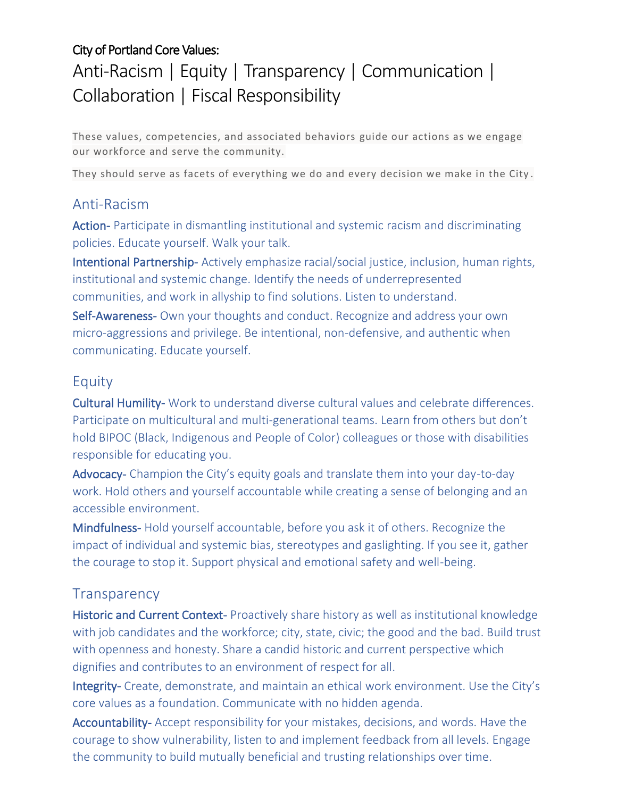#### City of Portland Core Values:

# Anti-Racism | Equity | Transparency | Communication | Collaboration | Fiscal Responsibility

These values, competencies, and associated behaviors guide our actions as we engage our workforce and serve the community.

They should serve as facets of everything we do and every decision we make in the City .

#### Anti-Racism

Action- Participate in dismantling institutional and systemic racism and discriminating policies. Educate yourself. Walk your talk.

Intentional Partnership- Actively emphasize racial/social justice, inclusion, human rights, institutional and systemic change. Identify the needs of underrepresented communities, and work in allyship to find solutions. Listen to understand.

Self-Awareness- Own your thoughts and conduct. Recognize and address your own micro-aggressions and privilege. Be intentional, non-defensive, and authentic when communicating. Educate yourself.

#### Equity

Cultural Humility- Work to understand diverse cultural values and celebrate differences. Participate on multicultural and multi-generational teams. Learn from others but don't hold BIPOC (Black, Indigenous and People of Color) colleagues or those with disabilities responsible for educating you.

Advocacy- Champion the City's equity goals and translate them into your day-to-day work. Hold others and yourself accountable while creating a sense of belonging and an accessible environment.

Mindfulness- Hold yourself accountable, before you ask it of others. Recognize the impact of individual and systemic bias, stereotypes and gaslighting. If you see it, gather the courage to stop it. Support physical and emotional safety and well-being.

#### **Transparency**

Historic and Current Context- Proactively share history as well as institutional knowledge with job candidates and the workforce; city, state, civic; the good and the bad. Build trust with openness and honesty. Share a candid historic and current perspective which dignifies and contributes to an environment of respect for all.

Integrity- Create, demonstrate, and maintain an ethical work environment. Use the City's core values as a foundation. Communicate with no hidden agenda.

Accountability- Accept responsibility for your mistakes, decisions, and words. Have the courage to show vulnerability, listen to and implement feedback from all levels. Engage the community to build mutually beneficial and trusting relationships over time.